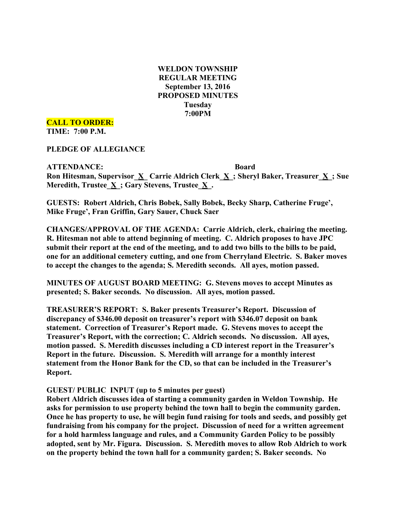**WELDON TOWNSHIP REGULAR MEETING September 13, 2016 PROPOSED MINUTES Tuesday 7:00PM**

**CALL TO ORDER: TIME: 7:00 P.M.**

**PLEDGE OF ALLEGIANCE**

**ATTENDANCE: Board Ron Hitesman, Supervisor\_X\_ Carrie Aldrich Clerk\_X\_; Sheryl Baker, Treasurer\_X\_; Sue Meredith, Trustee\_X\_; Gary Stevens, Trustee\_X\_.**

**GUESTS: Robert Aldrich, Chris Bobek, Sally Bobek, Becky Sharp, Catherine Fruge', Mike Fruge', Fran Griffin, Gary Sauer, Chuck Saer**

**CHANGES/APPROVAL OF THE AGENDA: Carrie Aldrich, clerk, chairing the meeting. R. Hitesman not able to attend beginning of meeting. C. Aldrich proposes to have JPC submit their report at the end of the meeting, and to add two bills to the bills to be paid, one for an additional cemetery cutting, and one from Cherryland Electric. S. Baker moves to accept the changes to the agenda; S. Meredith seconds. All ayes, motion passed.**

**MINUTES OF AUGUST BOARD MEETING: G. Stevens moves to accept Minutes as presented; S. Baker seconds. No discussion. All ayes, motion passed.**

**TREASURER'S REPORT: S. Baker presents Treasurer's Report. Discussion of discrepancy of \$346.00 deposit on treasurer's report with \$346.07 deposit on bank statement. Correction of Treasurer's Report made. G. Stevens moves to accept the Treasurer's Report, with the correction; C. Aldrich seconds. No discussion. All ayes, motion passed. S. Meredith discusses including a CD interest report in the Treasurer's Report in the future. Discussion. S. Meredith will arrange for a monthly interest statement from the Honor Bank for the CD, so that can be included in the Treasurer's Report.**

### **GUEST/ PUBLIC INPUT (up to 5 minutes per guest)**

**Robert Aldrich discusses idea of starting a community garden in Weldon Township. He asks for permission to use property behind the town hall to begin the community garden. Once he has property to use, he will begin fund raising for tools and seeds, and possibly get fundraising from his company for the project. Discussion of need for a written agreement for a hold harmless language and rules, and a Community Garden Policy to be possibly adopted, sent by Mr. Figura. Discussion. S. Meredith moves to allow Rob Aldrich to work on the property behind the town hall for a community garden; S. Baker seconds. No**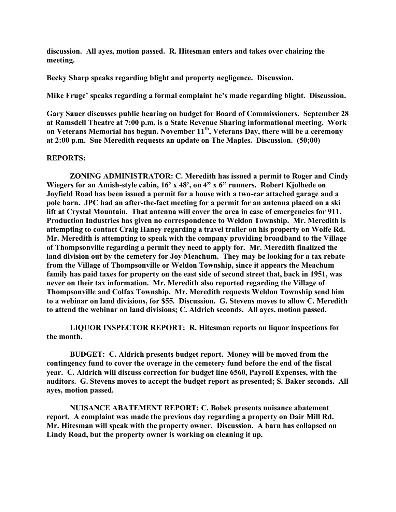**discussion. All ayes, motion passed. R. Hitesman enters and takes over chairing the meeting.**

**Becky Sharp speaks regarding blight and property negligence. Discussion.**

**Mike Fruge' speaks regarding a formal complaint he's made regarding blight. Discussion.**

**Gary Sauer discusses public hearing on budget for Board of Commissioners. September 28 at Ramsdell Theatre at 7:00 p.m. is a State Revenue Sharing informational meeting. Work on Veterans Memorial has begun. November 11th, Veterans Day, there will be a ceremony at 2:00 p.m. Sue Meredith requests an update on The Maples. Discussion. (50;00)**

#### **REPORTS:**

**ZONING ADMINISTRATOR: C. Meredith has issued a permit to Roger and Cindy Wiegers for an Amish-style cabin, 16' x 48', on 4" x 6" runners. Robert Kjolhede on Joyfield Road has been issued a permit for a house with a two-car attached garage and a pole barn. JPC had an after-the-fact meeting for a permit for an antenna placed on a ski lift at Crystal Mountain. That antenna will cover the area in case of emergencies for 911. Production Industries has given no correspondence to Weldon Township. Mr. Meredith is attempting to contact Craig Haney regarding a travel trailer on his property on Wolfe Rd. Mr. Meredith is attempting to speak with the company providing broadband to the Village of Thompsonville regarding a permit they need to apply for. Mr. Meredith finalized the land division out by the cemetery for Joy Meachum. They may be looking for a tax rebate from the Village of Thompsonville or Weldon Township, since it appears the Meachum family has paid taxes for property on the east side of second street that, back in 1951, was never on their tax information. Mr. Meredith also reported regarding the Village of Thompsonville and Colfax Township. Mr. Meredith requests Weldon Township send him to a webinar on land divisions, for \$55. Discussion. G. Stevens moves to allow C. Meredith to attend the webinar on land divisions; C. Aldrich seconds. All ayes, motion passed.**

**LIQUOR INSPECTOR REPORT: R. Hitesman reports on liquor inspections for the month.**

**BUDGET: C. Aldrich presents budget report. Money will be moved from the contingency fund to cover the overage in the cemetery fund before the end of the fiscal year. C. Aldrich will discuss correction for budget line 6560, Payroll Expenses, with the auditors. G. Stevens moves to accept the budget report as presented; S. Baker seconds. All ayes, motion passed.**

**NUISANCE ABATEMENT REPORT: C. Bobek presents nuisance abatement report. A complaint was made the previous day regarding a property on Dair Mill Rd. Mr. Hitesman will speak with the property owner. Discussion. A barn has collapsed on Lindy Road, but the property owner is working on cleaning it up.**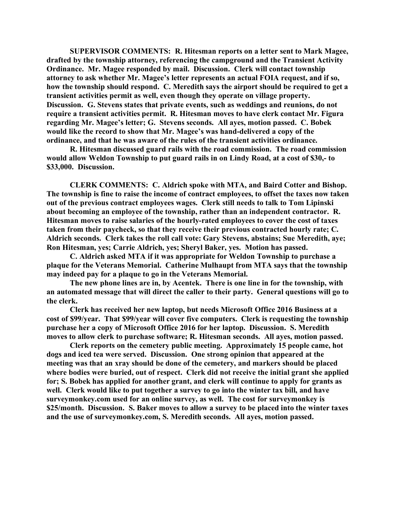**SUPERVISOR COMMENTS: R. Hitesman reports on a letter sent to Mark Magee, drafted by the township attorney, referencing the campground and the Transient Activity Ordinance. Mr. Magee responded by mail. Discussion. Clerk will contact township attorney to ask whether Mr. Magee's letter represents an actual FOIA request, and if so, how the township should respond. C. Meredith says the airport should be required to get a transient activities permit as well, even though they operate on village property. Discussion. G. Stevens states that private events, such as weddings and reunions, do not require a transient activities permit. R. Hitesman moves to have clerk contact Mr. Figura regarding Mr. Magee's letter; G. Stevens seconds. All ayes, motion passed. C. Bobek would like the record to show that Mr. Magee's was hand-delivered a copy of the ordinance, and that he was aware of the rules of the transient activities ordinance.**

**R. Hitesman discussed guard rails with the road commission. The road commission would allow Weldon Township to put guard rails in on Lindy Road, at a cost of \$30,- to \$33,000. Discussion.**

**CLERK COMMENTS: C. Aldrich spoke with MTA, and Baird Cotter and Bishop. The township is fine to raise the income of contract employees, to offset the taxes now taken out of the previous contract employees wages. Clerk still needs to talk to Tom Lipinski about becoming an employee of the township, rather than an independent contractor. R. Hitesman moves to raise salaries of the hourly-rated employees to cover the cost of taxes taken from their paycheck, so that they receive their previous contracted hourly rate; C. Aldrich seconds. Clerk takes the roll call vote: Gary Stevens, abstains; Sue Meredith, aye; Ron Hitesman, yes; Carrie Aldrich, yes; Sheryl Baker, yes. Motion has passed.**

**C. Aldrich asked MTA if it was appropriate for Weldon Township to purchase a plaque for the Veterans Memorial. Catherine Mulhaupt from MTA says that the township may indeed pay for a plaque to go in the Veterans Memorial.**

**The new phone lines are in, by Acentek. There is one line in for the township, with an automated message that will direct the caller to their party. General questions will go to the clerk.**

**Clerk has received her new laptop, but needs Microsoft Office 2016 Business at a cost of \$99/year. That \$99/year will cover five computers. Clerk is requesting the township purchase her a copy of Microsoft Office 2016 for her laptop. Discussion. S. Meredith moves to allow clerk to purchase software; R. Hitesman seconds. All ayes, motion passed.**

**Clerk reports on the cemetery public meeting. Approximately 15 people came, hot dogs and iced tea were served. Discussion. One strong opinion that appeared at the meeting was that an xray should be done of the cemetery, and markers should be placed where bodies were buried, out of respect. Clerk did not receive the initial grant she applied for; S. Bobek has applied for another grant, and clerk will continue to apply for grants as well. Clerk would like to put together a survey to go into the winter tax bill, and have surveymonkey.com used for an online survey, as well. The cost for surveymonkey is \$25/month. Discussion. S. Baker moves to allow a survey to be placed into the winter taxes and the use of surveymonkey.com, S. Meredith seconds. All ayes, motion passed.**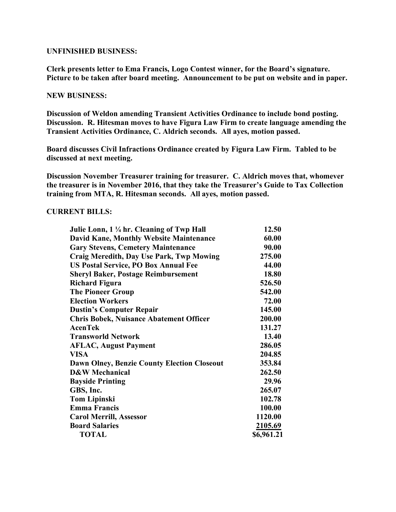## **UNFINISHED BUSINESS:**

**Clerk presents letter to Ema Francis, Logo Contest winner, for the Board's signature. Picture to be taken after board meeting. Announcement to be put on website and in paper.**

# **NEW BUSINESS:**

**Discussion of Weldon amending Transient Activities Ordinance to include bond posting. Discussion. R. Hitesman moves to have Figura Law Firm to create language amending the Transient Activities Ordinance, C. Aldrich seconds. All ayes, motion passed.**

**Board discusses Civil Infractions Ordinance created by Figura Law Firm. Tabled to be discussed at next meeting.**

**Discussion November Treasurer training for treasurer. C. Aldrich moves that, whomever the treasurer is in November 2016, that they take the Treasurer's Guide to Tax Collection training from MTA, R. Hitesman seconds. All ayes, motion passed.**

# **CURRENT BILLS:**

| Julie Lonn, 1 ¼ hr. Cleaning of Twp Hall           | 12.50      |
|----------------------------------------------------|------------|
| <b>David Kane, Monthly Website Maintenance</b>     | 60.00      |
| <b>Gary Stevens, Cemetery Maintenance</b>          | 90.00      |
| Craig Meredith, Day Use Park, Twp Mowing           | 275.00     |
| <b>US Postal Service, PO Box Annual Fee</b>        | 44.00      |
| <b>Sheryl Baker, Postage Reimbursement</b>         | 18.80      |
| <b>Richard Figura</b>                              | 526.50     |
| <b>The Pioneer Group</b>                           | 542.00     |
| <b>Election Workers</b>                            | 72.00      |
| <b>Dustin's Computer Repair</b>                    | 145.00     |
| <b>Chris Bobek, Nuisance Abatement Officer</b>     | 200.00     |
| <b>AcenTek</b>                                     | 131.27     |
| <b>Transworld Network</b>                          | 13.40      |
| <b>AFLAC, August Payment</b>                       | 286.05     |
| <b>VISA</b>                                        | 204.85     |
| <b>Dawn Olney, Benzie County Election Closeout</b> | 353.84     |
| D&W Mechanical                                     | 262.50     |
| <b>Bayside Printing</b>                            | 29.96      |
| GBS, Inc.                                          | 265.07     |
| <b>Tom Lipinski</b>                                | 102.78     |
| <b>Emma Francis</b>                                | 100.00     |
| <b>Carol Merrill, Assessor</b>                     | 1120.00    |
| <b>Board Salaries</b>                              | 2105.69    |
| <b>TOTAL</b>                                       | \$6,961.21 |